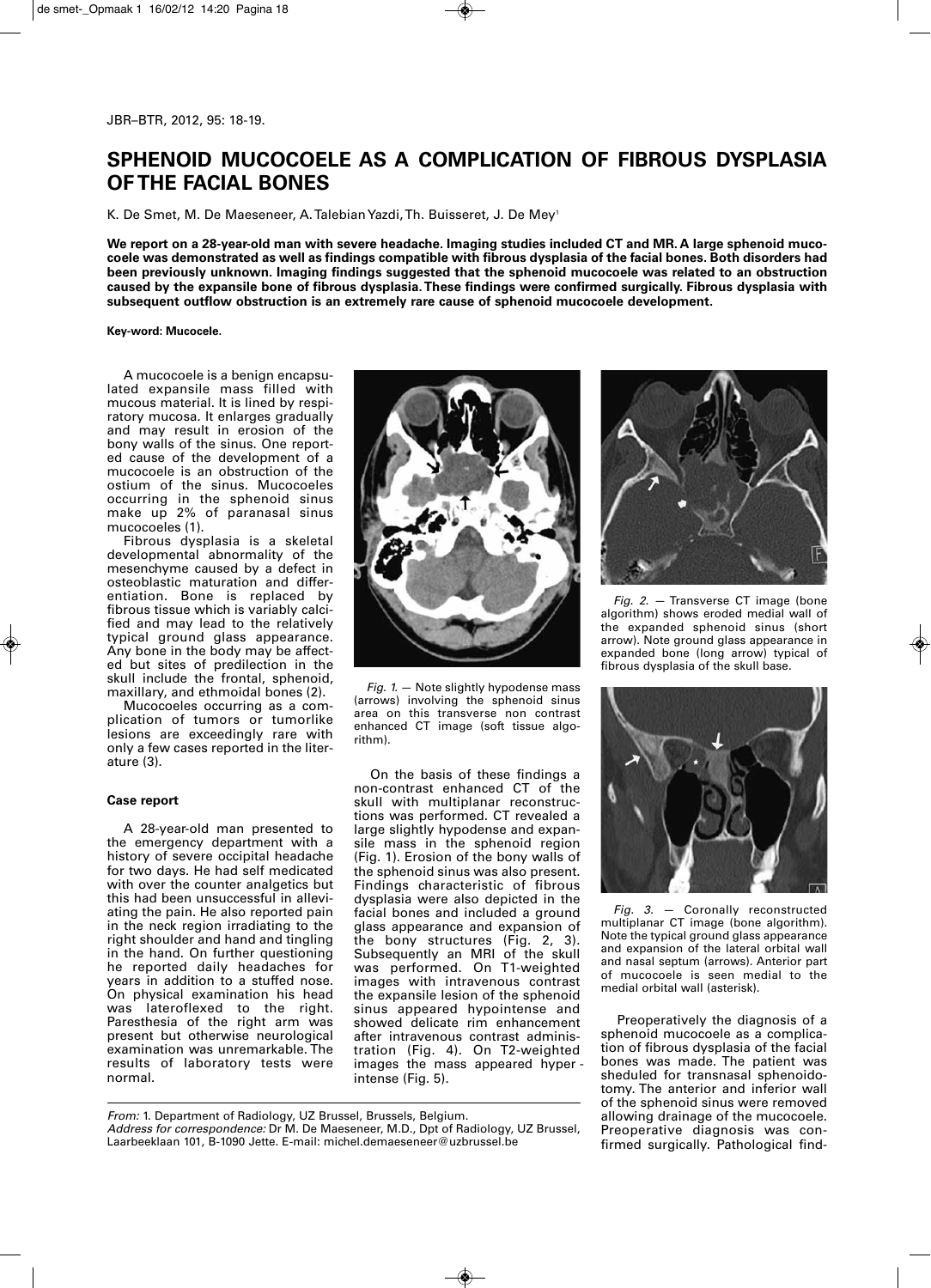## **SPHENOID MUCOCOELE AS A COMPLICATION OF FIBROUS DYSPLASIA OF THE FACIAL BONES**

K. De Smet, M. De Maeseneer, A. Talebian Yazdi, Th. Buisseret, J. De Mey<sup>1</sup>

**We report on a 28-year-old man with severe headache. Imaging studies included CT and MR. A large sphenoid mucocoele was demonstrated as well as findings compatible with fibrous dysplasia of the facial bones. Both disorders had been previously unknown. Imaging findings suggested that the sphenoid mucocoele was related to an obstruction caused by the expansile bone of fibrous dysplasia. These findings were confirmed surgically. Fibrous dysplasia with subsequent outflow obstruction is an extremely rare cause of sphenoid mucocoele development.**

**Key-word: Mucocele.**

A mucocoele is a benign encapsulated expansile mass filled with mucous material. It is lined by respiratory mucosa. It enlarges gradually and may result in erosion of the bony walls of the sinus. One reported cause of the development of a mucocoele is an obstruction of the ostium of the sinus. Mucocoeles occurring in the sphenoid sinus make up 2% of paranasal sinus mucocoeles (1).

Fibrous dysplasia is a skeletal developmental abnormality of the mesenchyme caused by a defect in osteoblastic maturation and differentiation. Bone is replaced by fibrous tissue which is variably calcified and may lead to the relatively typical ground glass appearance. Any bone in the body may be affected but sites of predilection in the skull include the frontal, sphenoid, maxillary, and ethmoidal bones (2).

Mucocoeles occurring as a complication of tumors or tumorlike lesions are exceedingly rare with only a few cases reported in the literature (3).

## **Case report**

A 28-year-old man presented to the emergency department with a history of severe occipital headache for two days. He had self medicated with over the counter analgetics but this had been unsuccessful in alleviating the pain. He also reported pain in the neck region irradiating to the right shoulder and hand and tingling in the hand. On further questioning he reported daily headaches for years in addition to a stuffed nose. On physical examination his head was lateroflexed to the right. Paresthesia of the right arm was present but otherwise neurological examination was unremarkable. The results of laboratory tests were normal.



*Fig. 1.* — Note slightly hypodense mass (arrows) involving the sphenoid sinus area on this transverse non contrast enhanced CT image (soft tissue algorithm).

On the basis of these findings a non-contrast enhanced CT of the skull with multiplanar reconstructions was performed. CT revealed a large slightly hypodense and expansile mass in the sphenoid region (Fig. 1). Erosion of the bony walls of the sphenoid sinus was also present. Findings characteristic of fibrous dysplasia were also depicted in the facial bones and included a ground glass appearance and expansion of the bony structures (Fig. 2, 3). Subsequently an MRI of the skull was performed. On T1-weighted images with intravenous contrast the expansile lesion of the sphenoid sinus appeared hypointense and showed delicate rim enhancement after intravenous contrast administration (Fig. 4). On T2-weighted images the mass appeared hyper intense (Fig. 5).

*From:* 1. Department of Radiology, UZ Brussel, Brussels, Belgium. *Address for correspondence:* Dr M. De Maeseneer, M.D., Dpt of Radiology, UZ Brussel, Laarbeeklaan 101, B-1090 Jette. E-mail: michel.demaeseneer@uzbrussel.be



*Fig. 2.* — Transverse CT image (bone algorithm) shows eroded medial wall of the expanded sphenoid sinus (short arrow). Note ground glass appearance in expanded bone (long arrow) typical of fibrous dysplasia of the skull base.



*Fig. 3.* — Coronally reconstructed multiplanar CT image (bone algorithm). Note the typical ground glass appearance and expansion of the lateral orbital wall and nasal septum (arrows). Anterior part of mucocoele is seen medial to the medial orbital wall (asterisk).

Preoperatively the diagnosis of a sphenoid mucocoele as a complication of fibrous dysplasia of the facial bones was made. The patient was sheduled for transnasal sphenoidotomy. The anterior and inferior wall of the sphenoid sinus were removed allowing drainage of the mucocoele. Preoperative diagnosis was confirmed surgically. Pathological find-